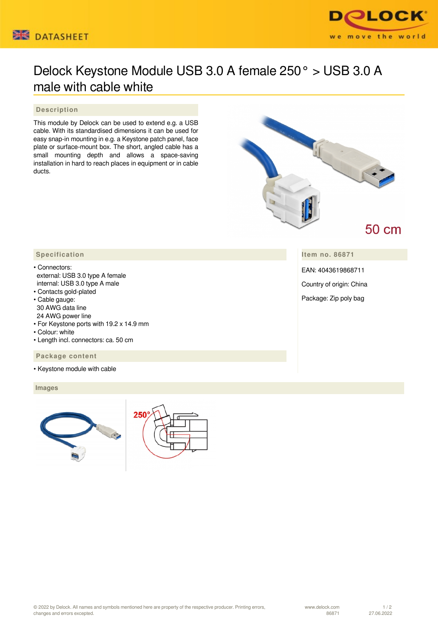



## Delock Keystone Module USB 3.0 A female 250° > USB 3.0 A male with cable white

## **Description**

This module by Delock can be used to extend e.g. a USB cable. With its standardised dimensions it can be used for easy snap-in mounting in e.g. a Keystone patch panel, face plate or surface-mount box. The short, angled cable has a small mounting depth and allows a space-saving installation in hard to reach places in equipment or in cable ducts.



**Item no. 86871**

EAN: 4043619868711

Country of origin: China

Package: Zip poly bag

- Connectors: external: USB 3.0 type A female internal: USB 3.0 type A male
- Contacts gold-plated
- Cable gauge: 30 AWG data line 24 AWG power line
- For Keystone ports with 19.2 x 14.9 mm
- Colour: white
- Length incl. connectors: ca. 50 cm

 **Package content**

• Keystone module with cable

 **Images**



| 250 |  |
|-----|--|
|     |  |
|     |  |